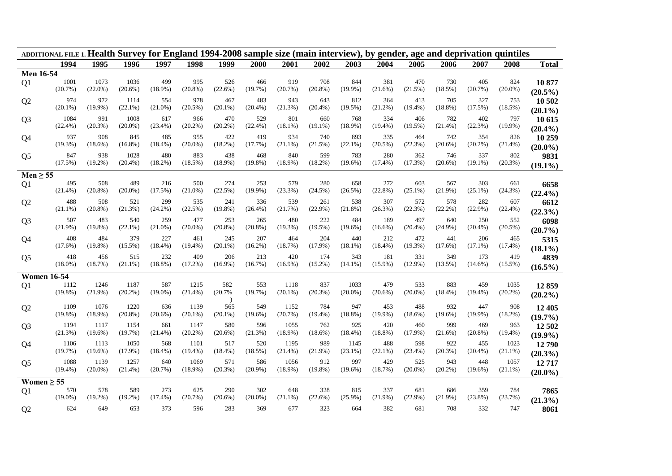| ADDITIONAL FILE 1. Health Survey for England 1994-2008 sample size (main interview), by gender, age and deprivation quintiles |            |                |            |                   |                    |                   |                   |                 |            |            |                   |                   |            |            |                |              |
|-------------------------------------------------------------------------------------------------------------------------------|------------|----------------|------------|-------------------|--------------------|-------------------|-------------------|-----------------|------------|------------|-------------------|-------------------|------------|------------|----------------|--------------|
|                                                                                                                               | 1994       | 1995           | 1996       | 1997              | 1998               | 1999              | 2000              | 2001            | 2002       | 2003       | 2004              | 2005              | 2006       | 2007       | 2008           | <b>Total</b> |
| <b>Men 16-54</b>                                                                                                              |            |                |            |                   |                    |                   |                   |                 |            |            |                   |                   |            |            |                |              |
| Q <sub>1</sub>                                                                                                                | 1001       | 1073           | 1036       | 499               | 995                | 526               | 466               | 919             | 708        | 844        | 381               | 470               | 730        | 405        | 824            | 10 877       |
|                                                                                                                               | (20.7%)    | $(22.0\%)$     | $(20.6\%)$ | $(18.9\%)$        | $(20.8\%)$         | (22.6%)           | (19.7%)           | (20.7%)         | $(20.8\%)$ | $(19.9\%)$ | (21.6%)           | (21.5%)           | (18.5%)    | (20.7%)    | $(20.0\%)$     | $(20.5\%)$   |
| Q <sub>2</sub>                                                                                                                | 974        | 972            | 1114       | 554               | 978                | 467               | 483               | 943             | 643        | 812        | 364               | 413               | 705        | 327        | 753            | 10 502       |
|                                                                                                                               | $(20.1\%)$ | $(19.9\%)$     | $(22.1\%)$ | $(21.0\%)$        | $(20.5\%)$         | $(20.1\%)$        | $(20.4\%)$        | (21.3%)         | $(20.4\%)$ | (19.5%)    | $(21.2\%)$        | $(19.4\%)$        | $(18.8\%)$ | (17.5%)    | (18.5%)        | $(20.1\%)$   |
| Q <sub>3</sub>                                                                                                                | 1084       | 991            | 1008       | 617               | 966                | 470               | 529               | 801             | 660        | 768        | 334               | 406               | 782        | 402        | 797            | 10 615       |
|                                                                                                                               | $(22.4\%)$ | (20.3%)        | $(20.0\%)$ | $(23.4\%)$        | (20.2%)            | (20.2%)           | (22.4%)           | (18.1%)         | $(19.1\%)$ | $(18.9\%)$ | $(19.4\%)$        | (19.5%)           | $(21.4\%)$ | (22.3%)    | $(19.9\%)$     | $(20.4\%)$   |
| Q <sub>4</sub>                                                                                                                | 937        | 908            | 845        | 485               | 955                | 422               | 419               | 934             | 740        | 893        | 335               | 464               | 742        | 354        | 826            | 10 259       |
|                                                                                                                               | (19.3%)    | $(18.6\%)$     | $(16.8\%)$ | $(18.4\%)$        | $(20.0\%)$         | $(18.2\%)$        | (17.7%)           | $(21.1\%)$      | (21.5%)    | $(22.1\%)$ | $(20.5\%)$        | (22.3%)           | $(20.6\%)$ | $(20.2\%)$ | $(21.4\%)$     |              |
|                                                                                                                               | 847        | 938            | 1028       | 480               | 883                | 438               | 468               | 840             | 599        | 783        | 280               | 362               | 746        | 337        | 802            | $(20.0\%)$   |
| Q <sub>5</sub>                                                                                                                | (17.5%)    | $(19.2\%)$     | $(20.4\%)$ | $(18.2\%)$        | (18.5%)            | $(18.9\%)$        | $(19.8\%)$        | $(18.9\%)$      | $(18.2\%)$ | $(19.6\%)$ | $(17.4\%)$        | (17.3%)           | $(20.6\%)$ | $(19.1\%)$ | (20.3%)        | 9831         |
|                                                                                                                               |            |                |            |                   |                    |                   |                   |                 |            |            |                   |                   |            |            |                | $(19.1\%)$   |
| $Men \geq 55$                                                                                                                 |            |                |            |                   |                    |                   |                   |                 |            |            |                   |                   |            |            |                |              |
| Q <sub>1</sub>                                                                                                                | 495        | 508            | 489        | 216               | 500                | 274               | 253               | 579             | 280        | 658        | 272               | 603               | 567        | 303        | 661            | 6658         |
|                                                                                                                               | $(21.4\%)$ | $(20.8\%)$     | $(20.0\%)$ | (17.5%)           | $(21.0\%)$         | (22.5%)           | $(19.9\%)$        | (23.3%)         | (24.5%)    | (26.5%)    | (22.8%)           | $(25.1\%)$        | (21.9%)    | $(25.1\%)$ | (24.3%)        | $(22.4\%)$   |
| Q2                                                                                                                            | 488        | 508            | 521        | 299               | 535                | 241               | 336               | 539             | 261        | 538        | 307               | 572               | 578        | 282        | 607            | 6612         |
|                                                                                                                               | $(21.1\%)$ | $(20.8\%)$     | (21.3%)    | (24.2%)           | (22.5%)            | $(19.8\%)$        | $(26.4\%)$        | (21.7%)         | $(22.9\%)$ | $(21.8\%)$ | (26.3%)           | (22.3%)           | $(22.2\%)$ | $(22.9\%)$ | $(22.4\%)$     | (22.3%)      |
| Q <sub>3</sub>                                                                                                                | 507        | 483            | 540        | 259               | 477                | 253               | 265               | 480             | 222        | 484        | 189               | 497               | 640        | 250        | 552            | 6098         |
|                                                                                                                               | $(21.9\%)$ | $(19.8\%)$     | $(22.1\%)$ | $(21.0\%)$        | $(20.0\%)$         | $(20.8\%)$        | $(20.8\%)$        | $(19.3\%)$      | $(19.5\%)$ | $(19.6\%)$ | $(16.6\%)$        | $(20.4\%)$        | $(24.9\%)$ | $(20.4\%)$ | (20.5%)        | $(20.7\%)$   |
|                                                                                                                               | 408        | 484            | 379        | 227               | 461                | 245               | 207               | 464             | 204        | 440        | 212               | 472               | 441        | 206        | 465            |              |
| Q <sub>4</sub>                                                                                                                | (17.6%)    | $(19.8\%)$     | $(15.5\%)$ | $(18.4\%)$        | $(19.4\%)$         | $(20.1\%)$        | $(16.2\%)$        | (18.7%)         | $(17.9\%)$ | $(18.1\%)$ | $(18.4\%)$        | (19.3%)           | $(17.6\%)$ | $(17.1\%)$ | $(17.4\%)$     | 5315         |
|                                                                                                                               |            |                |            |                   |                    |                   |                   |                 |            |            |                   |                   |            |            |                | $(18.1\%)$   |
| Q <sub>5</sub>                                                                                                                | 418        | 456<br>(18.7%) | 515        | 232               | 409                | 206               | 213               | 420             | 174        | 343        | 181               | 331               | 349        | 173        | 419            | 4839         |
|                                                                                                                               | $(18.0\%)$ |                | $(21.1\%)$ | $(18.8\%)$        | $(17.2\%)$         | $(16.9\%)$        | (16.7%)           | $(16.9\%)$      | $(15.2\%)$ | $(14.1\%)$ | $(15.9\%)$        | $(12.9\%)$        | $(13.5\%)$ | $(14.6\%)$ | $(15.5\%)$     | $(16.5\%)$   |
| <b>Women 16-54</b>                                                                                                            |            |                |            |                   |                    |                   |                   |                 |            |            |                   |                   |            |            |                |              |
| Q1                                                                                                                            | 1112       | 1246           | 1187       | 587               | 1215               | 582               | 553               | 1118            | 837        | 1033       | 479               | 533               | 883        | 459        | 1035           | 12859        |
|                                                                                                                               | $(19.8\%)$ | $(21.9\%)$     | $(20.2\%)$ | $(19.0\%)$        | $(21.4\%)$         | (20.7%            | (19.7%)           | $(20.1\%)$      | $(20.3\%)$ | $(20.0\%)$ | $(20.6\%)$        | $(20.0\%)$        | $(18.4\%)$ | $(19.4\%)$ | (20.2%)        | $(20.2\%)$   |
|                                                                                                                               | 1109       | 1076           | 1220       |                   |                    |                   |                   |                 | 784        | 947        |                   |                   | 932        | 447        |                |              |
| Q2                                                                                                                            | $(19.8\%)$ | $(18.9\%)$     | $(20.8\%)$ | 636<br>$(20.6\%)$ | 1139<br>$(20.1\%)$ | 565<br>$(20.1\%)$ | 549<br>$(19.6\%)$ | 1152<br>(20.7%) | $(19.4\%)$ | $(18.8\%)$ | 453<br>$(19.9\%)$ | 488<br>$(18.6\%)$ | $(19.6\%)$ | $(19.9\%)$ | 908<br>(18.2%) | 12 405       |
|                                                                                                                               |            |                |            |                   |                    |                   |                   |                 |            |            |                   |                   |            |            |                | $(19.7\%)$   |
| Q <sub>3</sub>                                                                                                                | 1194       | 1117           | 1154       | 661               | 1147               | 580               | 596               | 1055            | 762        | 925        | 420               | 460               | 999        | 469        | 963            | 12 502       |
|                                                                                                                               | (21.3%)    | $(19.6\%)$     | (19.7%)    | $(21.4\%)$        | $(20.2\%)$         | $(20.6\%)$        | (21.3%)           | $(18.9\%)$      | $(18.6\%)$ | $(18.4\%)$ | $(18.8\%)$        | $(17.9\%)$        | $(21.6\%)$ | $(20.8\%)$ | $(19.4\%)$     | $(19.9\%)$   |
| Q <sub>4</sub>                                                                                                                | 1106       | 1113           | 1050       | 568               | 1101               | 517               | 520               | 1195            | 989        | 1145       | 488               | 598               | 922        | 455        | 1023           | 12790        |
|                                                                                                                               | (19.7%)    | $(19.6\%)$     | $(17.9\%)$ | $(18.4\%)$        | $(19.4\%)$         | $(18.4\%)$        | (18.5%)           | (21.4%)         | $(21.9\%)$ | $(23.1\%)$ | $(22.1\%)$        | $(23.4\%)$        | (20.3%)    | (20.4%)    | $(21.1\%)$     | $(20.3\%)$   |
| Q <sub>5</sub>                                                                                                                | 1088       | 1139           | 1257       | 640               | 1069               | 571               | 586               | 1056            | 912        | 997        | 429               | 525               | 943        | 448        | 1057           | 12717        |
|                                                                                                                               | $(19.4\%)$ | $(20.0\%)$     | $(21.4\%)$ | (20.7%)           | $(18.9\%)$         | $(20.3\%)$        | $(20.9\%)$        | $(18.9\%)$      | $(19.8\%)$ | $(19.6\%)$ | (18.7%)           | $(20.0\%)$        | $(20.2\%)$ | $(19.6\%)$ | $(21.1\%)$     | $(20.0\%)$   |
| Women $\geq$ 55                                                                                                               |            |                |            |                   |                    |                   |                   |                 |            |            |                   |                   |            |            |                |              |
|                                                                                                                               | 570        | 578            | 589        | 273               | 625                | 290               | 302               | 648             | 328        | 815        | 337               | 681               | 686        | 359        | 784            |              |
| Q <sub>1</sub>                                                                                                                | $(19.0\%)$ | $(19.2\%)$     | $(19.2\%)$ | $(17.4\%)$        | (20.7%)            | $(20.6\%)$        | $(20.0\%)$        | $(21.1\%)$      | (22.6%)    | $(25.9\%)$ | $(21.9\%)$        | $(22.9\%)$        | $(21.9\%)$ | $(23.8\%)$ | (23.7%)        | 7865         |
|                                                                                                                               |            |                |            |                   |                    |                   |                   |                 |            |            |                   |                   |            |            |                | $(21.3\%)$   |
| Q2                                                                                                                            | 624        | 649            | 653        | 373               | 596                | 283               | 369               | 677             | 323        | 664        | 382               | 681               | 708        | 332        | 747            | 8061         |